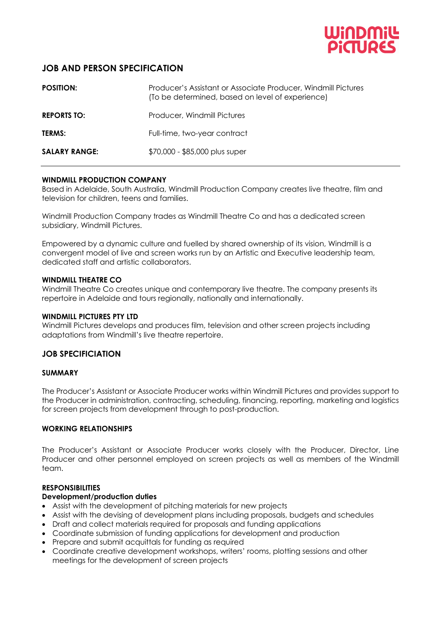

# **JOB AND PERSON SPECIFICATION**

| <b>POSITION:</b>     | Producer's Assistant or Associate Producer, Windmill Pictures<br>(To be determined, based on level of experience) |
|----------------------|-------------------------------------------------------------------------------------------------------------------|
| <b>REPORTS TO:</b>   | Producer, Windmill Pictures                                                                                       |
| <b>TERMS:</b>        | Full-time, two-year contract                                                                                      |
| <b>SALARY RANGE:</b> | \$70,000 - \$85,000 plus super                                                                                    |

#### **WINDMILL PRODUCTION COMPANY**

Based in Adelaide, South Australia, Windmill Production Company creates live theatre, film and television for children, teens and families.

Windmill Production Company trades as Windmill Theatre Co and has a dedicated screen subsidiary, Windmill Pictures.

Empowered by a dynamic culture and fuelled by shared ownership of its vision, Windmill is a convergent model of live and screen works run by an Artistic and Executive leadership team, dedicated staff and artistic collaborators.

#### **WINDMILL THEATRE CO**

Windmill Theatre Co creates unique and contemporary live theatre. The company presents its repertoire in Adelaide and tours regionally, nationally and internationally.

#### **WINDMILL PICTURES PTY LTD**

Windmill Pictures develops and produces film, television and other screen projects including adaptations from Windmill's live theatre repertoire.

#### **JOB SPECIFICIATION**

#### **SUMMARY**

The Producer's Assistant or Associate Producer works within Windmill Pictures and provides support to the Producer in administration, contracting, scheduling, financing, reporting, marketing and logistics for screen projects from development through to post-production.

#### **WORKING RELATIONSHIPS**

The Producer's Assistant or Associate Producer works closely with the Producer, Director, Line Producer and other personnel employed on screen projects as well as members of the Windmill team.

#### **RESPONSIBILITIES**

#### **Development/production duties**

- Assist with the development of pitching materials for new projects
- Assist with the devising of development plans including proposals, budgets and schedules
- Draft and collect materials required for proposals and funding applications
- Coordinate submission of funding applications for development and production
- Prepare and submit acquittals for funding as required
- Coordinate creative development workshops, writers' rooms, plotting sessions and other meetings for the development of screen projects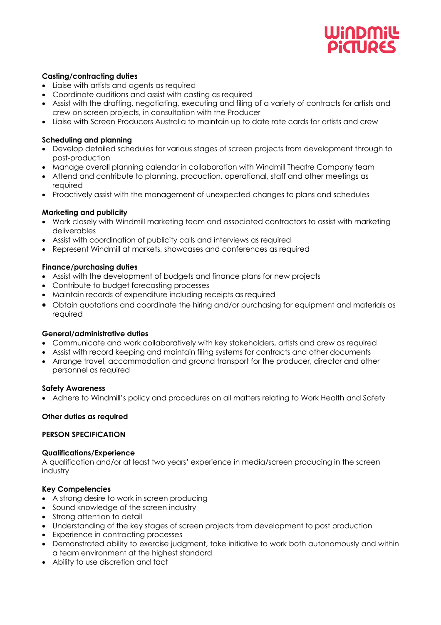# UMODIONU **DiaTIDES**

#### **Casting/contracting duties**

- Liaise with artists and agents as required
- Coordinate auditions and assist with casting as required
- Assist with the drafting, negotiating, executing and filing of a variety of contracts for artists and crew on screen projects, in consultation with the Producer
- Liaise with Screen Producers Australia to maintain up to date rate cards for artists and crew

## **Scheduling and planning**

- Develop detailed schedules for various stages of screen projects from development through to post-production
- Manage overall planning calendar in collaboration with Windmill Theatre Company team
- Attend and contribute to planning, production, operational, staff and other meetings as required
- Proactively assist with the management of unexpected changes to plans and schedules

## **Marketing and publicity**

- Work closely with Windmill marketing team and associated contractors to assist with marketing deliverables
- Assist with coordination of publicity calls and interviews as required
- Represent Windmill at markets, showcases and conferences as required

## **Finance/purchasing duties**

- Assist with the development of budgets and finance plans for new projects
- Contribute to budget forecasting processes
- Maintain records of expenditure including receipts as required
- Obtain quotations and coordinate the hiring and/or purchasing for equipment and materials as required

#### **General/administrative duties**

- Communicate and work collaboratively with key stakeholders, artists and crew as required
- Assist with record keeping and maintain filing systems for contracts and other documents
- Arrange travel, accommodation and ground transport for the producer, director and other personnel as required

#### **Safety Awareness**

• Adhere to Windmill's policy and procedures on all matters relating to Work Health and Safety

#### **Other duties as required**

## **PERSON SPECIFICATION**

#### **Qualifications/Experience**

A qualification and/or at least two years' experience in media/screen producing in the screen industry

## **Key Competencies**

- A strong desire to work in screen producing
- Sound knowledge of the screen industry
- Strong attention to detail
- Understanding of the key stages of screen projects from development to post production
- Experience in contracting processes
- Demonstrated ability to exercise judgment, take initiative to work both autonomously and within a team environment at the highest standard
- Ability to use discretion and tact